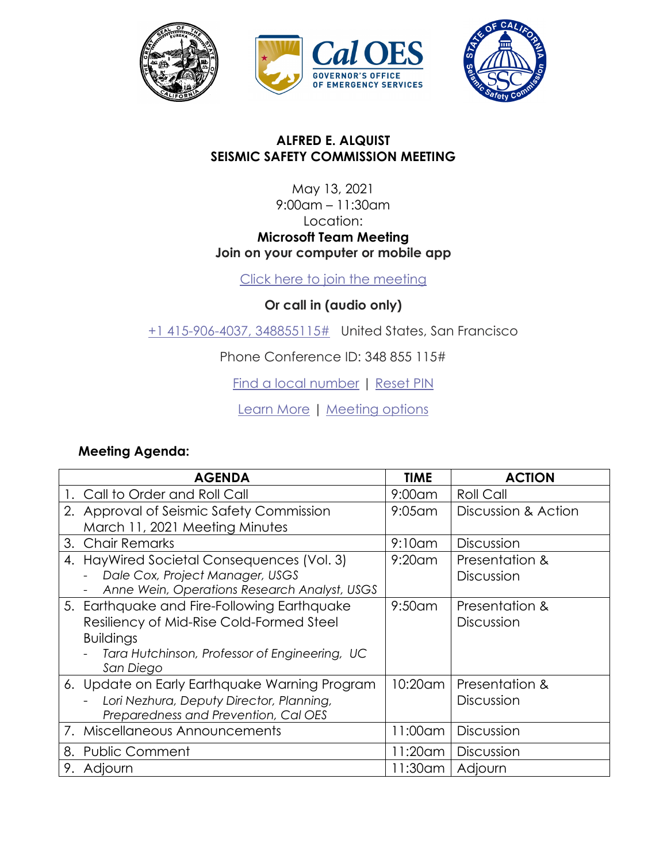





## **ALFRED E. ALQUIST SEISMIC SAFETY COMMISSION MEETING**

## May 13, 2021 9:00am – 11:30am Location: **Microsoft Team Meeting Join on your computer or mobile app**

[Click here to join the meeting](https://teams.microsoft.com/l/meetup-join/19%3ameeting_Y2M4NGZhNTYtZDkzNC00MDZjLTgyOTYtYzRiYTY3OTFiNzdl%40thread.v2/0?context=%7b%22Tid%22%3a%22ebf268ae-3036-4714-9f69-c9fd0e9dc6b9%22%2c%22Oid%22%3a%22037d9d19-9c40-45f2-a44d-7585219817c5%22%7d)

**Or call in (audio only)**

[+1 415-906-4037,](tel:+14159064037,,348855115#%20) 348855115# United States, San Francisco

Phone Conference ID: 348 855 115#

[Find a local number](https://dialin.teams.microsoft.com/0f3279a6-f937-40e8-8764-4608b18f41d5?id=348855115) | [Reset PIN](https://mysettings.lync.com/pstnconferencing)

[Learn More](https://aka.ms/JoinTeamsMeeting) | [Meeting options](https://teams.microsoft.com/meetingOptions/?organizerId=037d9d19-9c40-45f2-a44d-7585219817c5&tenantId=ebf268ae-3036-4714-9f69-c9fd0e9dc6b9&threadId=19_meeting_Y2M4NGZhNTYtZDkzNC00MDZjLTgyOTYtYzRiYTY3OTFiNzdl@thread.v2&messageId=0&language=en-US)

## **Meeting Agenda:**

| <b>AGENDA</b>                                 | <b>TIME</b> | <b>ACTION</b>       |
|-----------------------------------------------|-------------|---------------------|
| 1. Call to Order and Roll Call                | $9:00$ am   | <b>Roll Call</b>    |
| 2. Approval of Seismic Safety Commission      | $9:05$ am   | Discussion & Action |
| March 11, 2021 Meeting Minutes                |             |                     |
| 3. Chair Remarks                              | $9:10$ am   | <b>Discussion</b>   |
| 4. HayWired Societal Consequences (Vol. 3)    | $9:20$ am   | Presentation &      |
| Dale Cox, Project Manager, USGS               |             | Discussion          |
| Anne Wein, Operations Research Analyst, USGS  |             |                     |
| 5. Earthquake and Fire-Following Earthquake   | $9:50$ am   | Presentation &      |
| Resiliency of Mid-Rise Cold-Formed Steel      |             | <b>Discussion</b>   |
| <b>Buildings</b>                              |             |                     |
| Tara Hutchinson, Professor of Engineering, UC |             |                     |
| San Diego                                     |             |                     |
| 6. Update on Early Earthquake Warning Program | 10:20am     | Presentation &      |
| Lori Nezhura, Deputy Director, Planning,      |             | Discussion          |
| Preparedness and Prevention, Cal OES          |             |                     |
| 7. Miscellaneous Announcements                | 11:00am     | <b>Discussion</b>   |
| 8. Public Comment                             | 11:20am     | Discussion          |
| 9. Adjourn                                    | 11:30am     | Adjourn             |